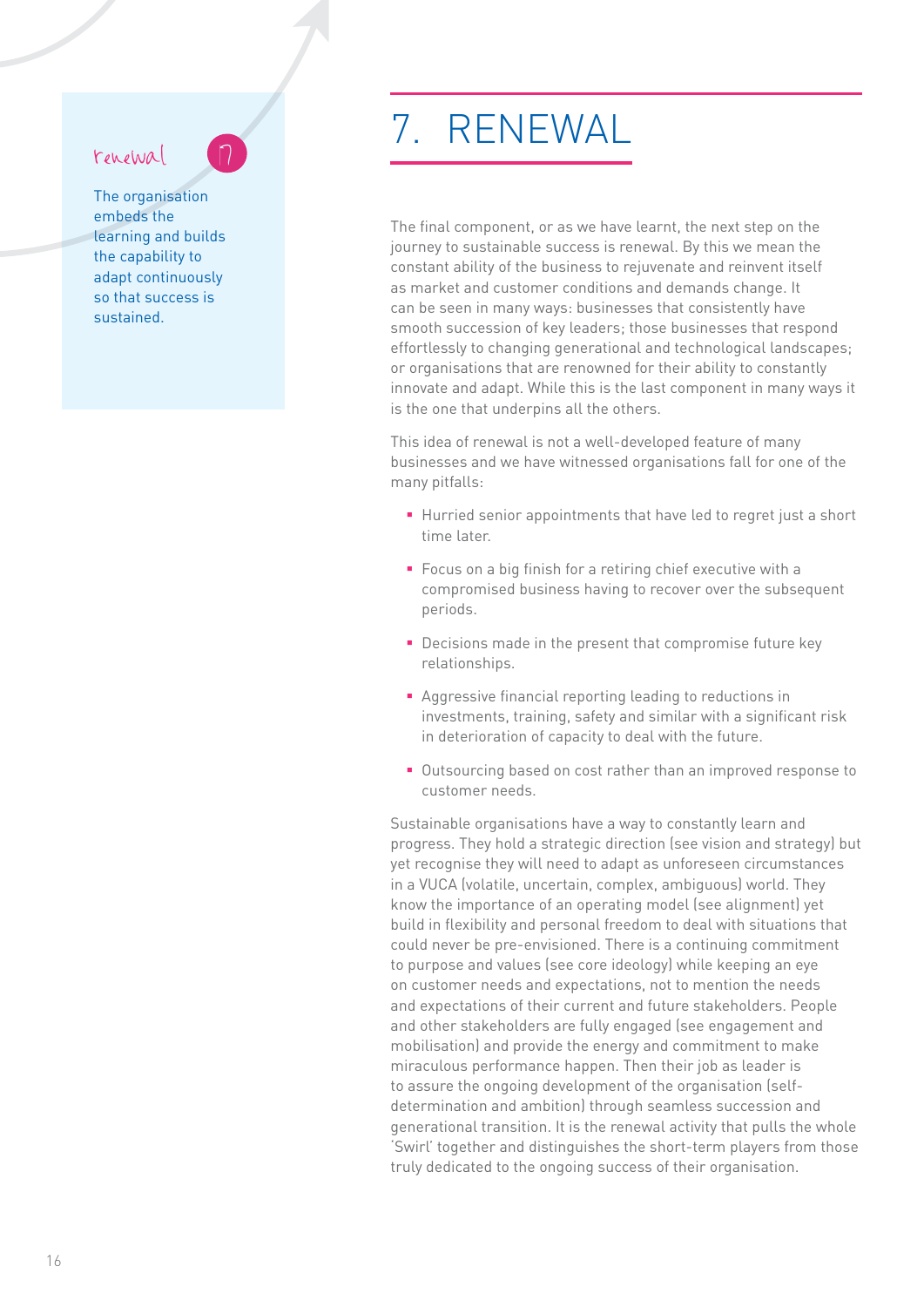## renewal

The organisation embeds the learning and builds the capability to adapt continuously so that success is sustained.

## 7. RENEWAL

The final component, or as we have learnt, the next step on the journey to sustainable success is renewal. By this we mean the constant ability of the business to rejuvenate and reinvent itself as market and customer conditions and demands change. It can be seen in many ways: businesses that consistently have smooth succession of key leaders; those businesses that respond effortlessly to changing generational and technological landscapes; or organisations that are renowned for their ability to constantly innovate and adapt. While this is the last component in many ways it is the one that underpins all the others.

This idea of renewal is not a well-developed feature of many businesses and we have witnessed organisations fall for one of the many pitfalls:

- Hurried senior appointments that have led to regret just a short time later.
- Focus on a big finish for a retiring chief executive with a compromised business having to recover over the subsequent periods.
- Decisions made in the present that compromise future key relationships.
- Aggressive financial reporting leading to reductions in investments, training, safety and similar with a significant risk in deterioration of capacity to deal with the future.
- Outsourcing based on cost rather than an improved response to customer needs.

Sustainable organisations have a way to constantly learn and progress. They hold a strategic direction (see vision and strategy) but yet recognise they will need to adapt as unforeseen circumstances in a VUCA (volatile, uncertain, complex, ambiguous) world. They know the importance of an operating model (see alignment) yet build in flexibility and personal freedom to deal with situations that could never be pre-envisioned. There is a continuing commitment to purpose and values (see core ideology) while keeping an eye on customer needs and expectations, not to mention the needs and expectations of their current and future stakeholders. People and other stakeholders are fully engaged (see engagement and mobilisation) and provide the energy and commitment to make miraculous performance happen. Then their job as leader is to assure the ongoing development of the organisation (selfdetermination and ambition) through seamless succession and generational transition. It is the renewal activity that pulls the whole 'Swirl' together and distinguishes the short-term players from those truly dedicated to the ongoing success of their organisation.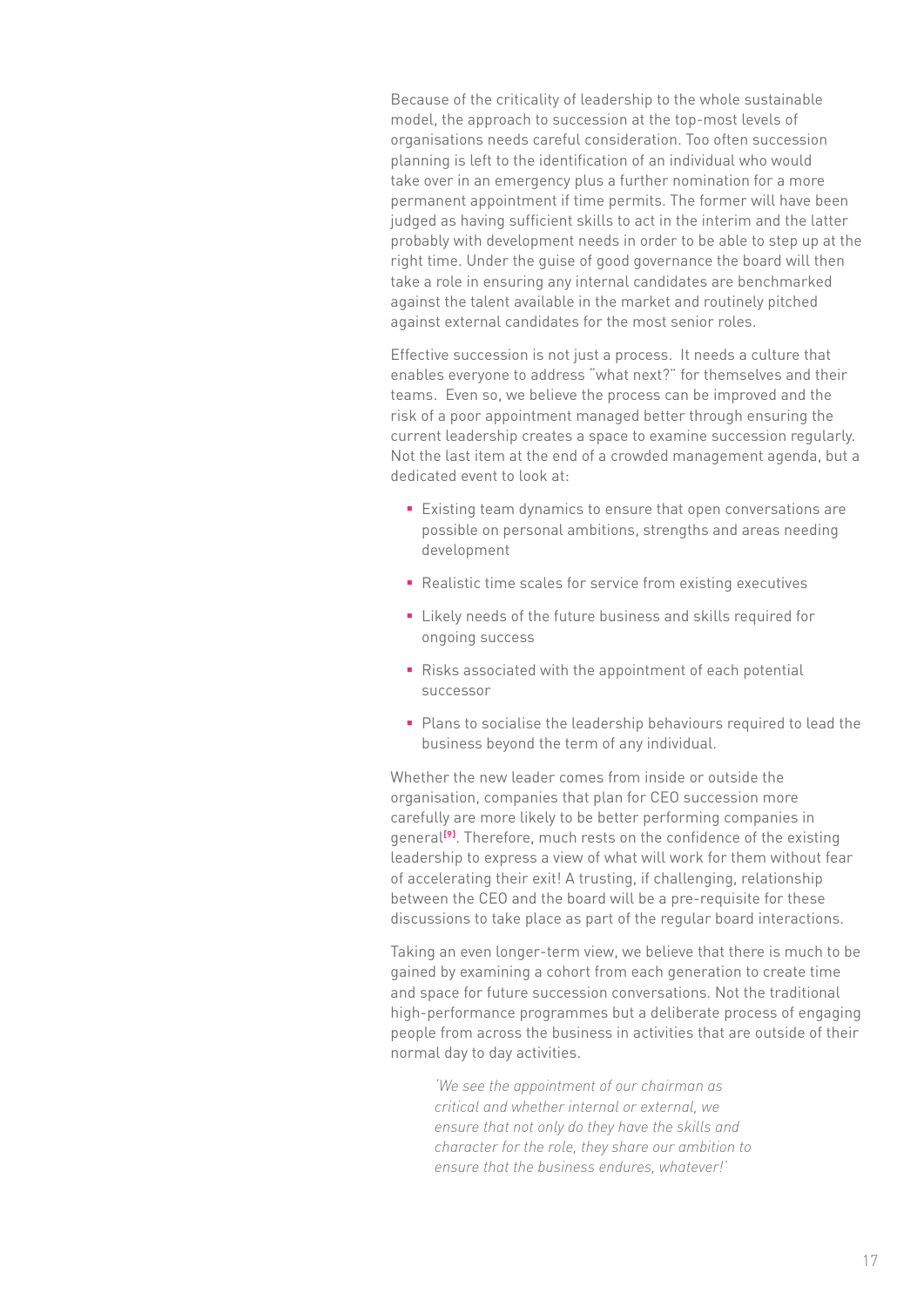Because of the criticality of leadership to the whole sustainable model, the approach to succession at the top-most levels of organisations needs careful consideration. Too often succession planning is left to the identification of an individual who would take over in an emergency plus a further nomination for a more permanent appointment if time permits. The former will have been judged as having sufficient skills to act in the interim and the latter probably with development needs in order to be able to step up at the right time. Under the guise of good governance the board will then take a role in ensuring any internal candidates are benchmarked against the talent available in the market and routinely pitched against external candidates for the most senior roles.

Effective succession is not just a process. It needs a culture that enables everyone to address "what next?" for themselves and their teams. Even so, we believe the process can be improved and the risk of a poor appointment managed better through ensuring the current leadership creates a space to examine succession regularly. Not the last item at the end of a crowded management agenda, but a dedicated event to look at:

- Existing team dynamics to ensure that open conversations are possible on personal ambitions, strengths and areas needing development
- Realistic time scales for service from existing executives
- Likely needs of the future business and skills required for ongoing success
- Risks associated with the appointment of each potential successor
- Plans to socialise the leadership behaviours required to lead the business beyond the term of any individual.

Whether the new leader comes from inside or outside the organisation, companies that plan for CEO succession more carefully are more likely to be better performing companies in general<sup>[9]</sup>. Therefore, much rests on the confidence of the existing leadership to express a view of what will work for them without fear of accelerating their exit! A trusting, if challenging, relationship between the CEO and the board will be a pre-requisite for these discussions to take place as part of the regular board interactions.

Taking an even longer-term view, we believe that there is much to be gained by examining a cohort from each generation to create time and space for future succession conversations. Not the traditional high-performance programmes but a deliberate process of engaging people from across the business in activities that are outside of their normal day to day activities.

*'We see the appointment of our chairman as critical and whether internal or external, we ensure that not only do they have the skills and character for the role, they share our ambition to ensure that the business endures, whatever!'*